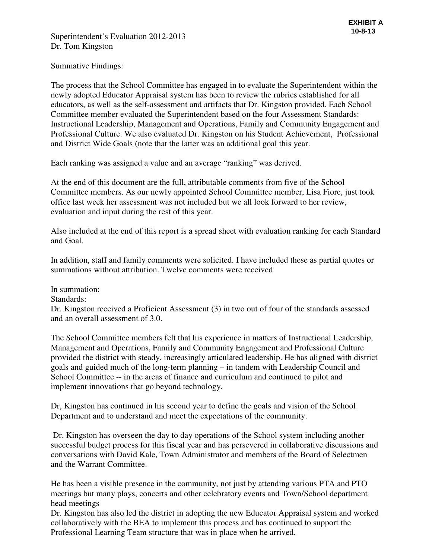Summative Findings:

The process that the School Committee has engaged in to evaluate the Superintendent within the newly adopted Educator Appraisal system has been to review the rubrics established for all educators, as well as the self-assessment and artifacts that Dr. Kingston provided. Each School Committee member evaluated the Superintendent based on the four Assessment Standards: Instructional Leadership, Management and Operations, Family and Community Engagement and Professional Culture. We also evaluated Dr. Kingston on his Student Achievement, Professional and District Wide Goals (note that the latter was an additional goal this year.

Each ranking was assigned a value and an average "ranking" was derived.

At the end of this document are the full, attributable comments from five of the School Committee members. As our newly appointed School Committee member, Lisa Fiore, just took office last week her assessment was not included but we all look forward to her review, evaluation and input during the rest of this year.

Also included at the end of this report is a spread sheet with evaluation ranking for each Standard and Goal.

In addition, staff and family comments were solicited. I have included these as partial quotes or summations without attribution. Twelve comments were received

In summation:

Standards:

Dr. Kingston received a Proficient Assessment (3) in two out of four of the standards assessed and an overall assessment of 3.0.

The School Committee members felt that his experience in matters of Instructional Leadership, Management and Operations, Family and Community Engagement and Professional Culture provided the district with steady, increasingly articulated leadership. He has aligned with district goals and guided much of the long-term planning – in tandem with Leadership Council and School Committee -- in the areas of finance and curriculum and continued to pilot and implement innovations that go beyond technology.

Dr, Kingston has continued in his second year to define the goals and vision of the School Department and to understand and meet the expectations of the community.

 Dr. Kingston has overseen the day to day operations of the School system including another successful budget process for this fiscal year and has persevered in collaborative discussions and conversations with David Kale, Town Administrator and members of the Board of Selectmen and the Warrant Committee.

He has been a visible presence in the community, not just by attending various PTA and PTO meetings but many plays, concerts and other celebratory events and Town/School department head meetings

Dr. Kingston has also led the district in adopting the new Educator Appraisal system and worked collaboratively with the BEA to implement this process and has continued to support the Professional Learning Team structure that was in place when he arrived.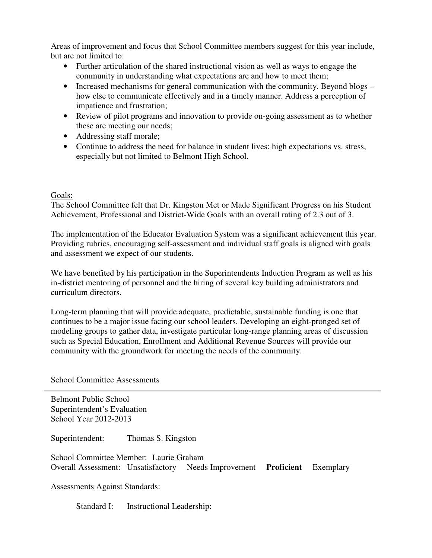Areas of improvement and focus that School Committee members suggest for this year include, but are not limited to:

- Further articulation of the shared instructional vision as well as ways to engage the community in understanding what expectations are and how to meet them;
- Increased mechanisms for general communication with the community. Beyond blogs how else to communicate effectively and in a timely manner. Address a perception of impatience and frustration;
- Review of pilot programs and innovation to provide on-going assessment as to whether these are meeting our needs;
- Addressing staff morale;
- Continue to address the need for balance in student lives: high expectations vs. stress, especially but not limited to Belmont High School.

# Goals:

The School Committee felt that Dr. Kingston Met or Made Significant Progress on his Student Achievement, Professional and District-Wide Goals with an overall rating of 2.3 out of 3.

The implementation of the Educator Evaluation System was a significant achievement this year. Providing rubrics, encouraging self-assessment and individual staff goals is aligned with goals and assessment we expect of our students.

We have benefited by his participation in the Superintendents Induction Program as well as his in-district mentoring of personnel and the hiring of several key building administrators and curriculum directors.

Long-term planning that will provide adequate, predictable, sustainable funding is one that continues to be a major issue facing our school leaders. Developing an eight-pronged set of modeling groups to gather data, investigate particular long-range planning areas of discussion such as Special Education, Enrollment and Additional Revenue Sources will provide our community with the groundwork for meeting the needs of the community.

School Committee Assessments

Belmont Public School Superintendent's Evaluation School Year 2012-2013

Superintendent: Thomas S. Kingston

School Committee Member: Laurie Graham Overall Assessment: Unsatisfactory Needs Improvement **Proficient** Exemplary

Assessments Against Standards:

Standard I: Instructional Leadership: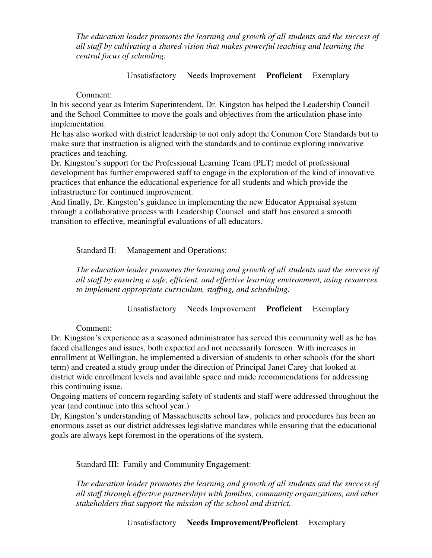*The education leader promotes the learning and growth of all students and the success of all staff by cultivating a shared vision that makes powerful teaching and learning the central focus of schooling.* 

Unsatisfactory Needs Improvement **Proficient** Exemplary

Comment:

In his second year as Interim Superintendent, Dr. Kingston has helped the Leadership Council and the School Committee to move the goals and objectives from the articulation phase into implementation.

He has also worked with district leadership to not only adopt the Common Core Standards but to make sure that instruction is aligned with the standards and to continue exploring innovative practices and teaching.

Dr. Kingston's support for the Professional Learning Team (PLT) model of professional development has further empowered staff to engage in the exploration of the kind of innovative practices that enhance the educational experience for all students and which provide the infrastructure for continued improvement.

And finally, Dr. Kingston's guidance in implementing the new Educator Appraisal system through a collaborative process with Leadership Counsel and staff has ensured a smooth transition to effective, meaningful evaluations of all educators.

Standard II: Management and Operations:

*The education leader promotes the learning and growth of all students and the success of all staff by ensuring a safe, efficient, and effective learning environment, using resources to implement appropriate curriculum, staffing, and scheduling.*

Unsatisfactory Needs Improvement **Proficient** Exemplary

Comment:

Dr. Kingston's experience as a seasoned administrator has served this community well as he has faced challenges and issues, both expected and not necessarily foreseen. With increases in enrollment at Wellington, he implemented a diversion of students to other schools (for the short term) and created a study group under the direction of Principal Janet Carey that looked at district wide enrollment levels and available space and made recommendations for addressing this continuing issue.

Ongoing matters of concern regarding safety of students and staff were addressed throughout the year (and continue into this school year.)

Dr, Kingston's understanding of Massachusetts school law, policies and procedures has been an enormous asset as our district addresses legislative mandates while ensuring that the educational goals are always kept foremost in the operations of the system.

Standard III: Family and Community Engagement:

*The education leader promotes the learning and growth of all students and the success of all staff through effective partnerships with families, community organizations, and other stakeholders that support the mission of the school and district.*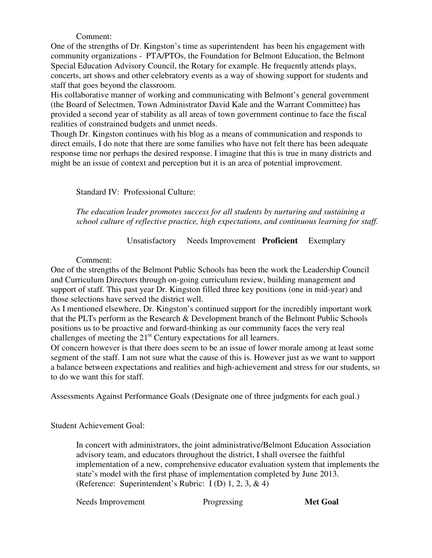# Comment:

One of the strengths of Dr. Kingston's time as superintendent has been his engagement with community organizations - PTA/PTOs, the Foundation for Belmont Education, the Belmont Special Education Advisory Council, the Rotary for example. He frequently attends plays, concerts, art shows and other celebratory events as a way of showing support for students and staff that goes beyond the classroom.

His collaborative manner of working and communicating with Belmont's general government (the Board of Selectmen, Town Administrator David Kale and the Warrant Committee) has provided a second year of stability as all areas of town government continue to face the fiscal realities of constrained budgets and unmet needs.

Though Dr. Kingston continues with his blog as a means of communication and responds to direct emails, I do note that there are some families who have not felt there has been adequate response time nor perhaps the desired response. I imagine that this is true in many districts and might be an issue of context and perception but it is an area of potential improvement.

Standard IV: Professional Culture:

*The education leader promotes success for all students by nurturing and sustaining a school culture of reflective practice, high expectations, and continuous learning for staff.*

# Unsatisfactory Needs Improvement **Proficient** Exemplary

# Comment:

One of the strengths of the Belmont Public Schools has been the work the Leadership Council and Curriculum Directors through on-going curriculum review, building management and support of staff. This past year Dr. Kingston filled three key positions (one in mid-year) and those selections have served the district well.

As I mentioned elsewhere, Dr. Kingston's continued support for the incredibly important work that the PLTs perform as the Research & Development branch of the Belmont Public Schools positions us to be proactive and forward-thinking as our community faces the very real challenges of meeting the  $21<sup>st</sup>$  Century expectations for all learners.

Of concern however is that there does seem to be an issue of lower morale among at least some segment of the staff. I am not sure what the cause of this is. However just as we want to support a balance between expectations and realities and high-achievement and stress for our students, so to do we want this for staff.

Assessments Against Performance Goals (Designate one of three judgments for each goal.)

# Student Achievement Goal:

In concert with administrators, the joint administrative/Belmont Education Association advisory team, and educators throughout the district, I shall oversee the faithful implementation of a new, comprehensive educator evaluation system that implements the state's model with the first phase of implementation completed by June 2013. (Reference: Superintendent's Rubric: I (D) 1, 2, 3, & 4)

Needs Improvement Progressing **Met Goal**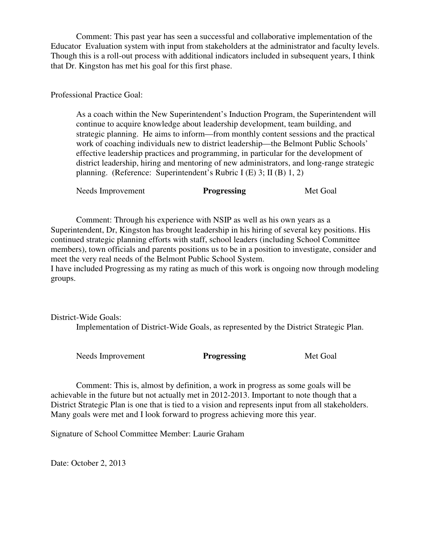Comment: This past year has seen a successful and collaborative implementation of the Educator Evaluation system with input from stakeholders at the administrator and faculty levels. Though this is a roll-out process with additional indicators included in subsequent years, I think that Dr. Kingston has met his goal for this first phase.

Professional Practice Goal:

As a coach within the New Superintendent's Induction Program, the Superintendent will continue to acquire knowledge about leadership development, team building, and strategic planning. He aims to inform—from monthly content sessions and the practical work of coaching individuals new to district leadership—the Belmont Public Schools' effective leadership practices and programming, in particular for the development of district leadership, hiring and mentoring of new administrators, and long-range strategic planning. (Reference: Superintendent's Rubric I (E) 3; II (B) 1, 2)

Needs Improvement **Progressing** Met Goal

 Comment: Through his experience with NSIP as well as his own years as a Superintendent, Dr, Kingston has brought leadership in his hiring of several key positions. His continued strategic planning efforts with staff, school leaders (including School Committee members), town officials and parents positions us to be in a position to investigate, consider and meet the very real needs of the Belmont Public School System.

I have included Progressing as my rating as much of this work is ongoing now through modeling groups.

District-Wide Goals: Implementation of District-Wide Goals, as represented by the District Strategic Plan.

Needs Improvement **Progressing** Met Goal

 Comment: This is, almost by definition, a work in progress as some goals will be achievable in the future but not actually met in 2012-2013. Important to note though that a District Strategic Plan is one that is tied to a vision and represents input from all stakeholders. Many goals were met and I look forward to progress achieving more this year.

Signature of School Committee Member: Laurie Graham

Date: October 2, 2013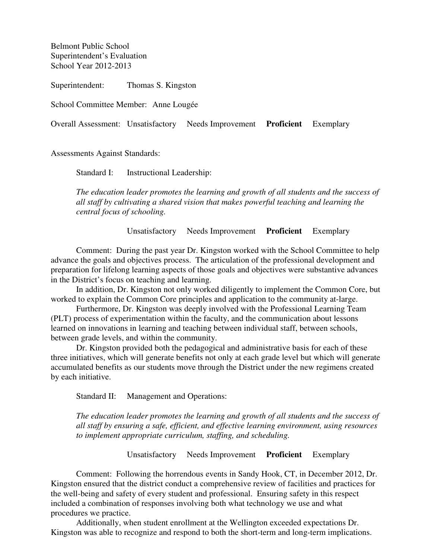Belmont Public School Superintendent's Evaluation School Year 2012-2013

Superintendent: Thomas S. Kingston

School Committee Member: Anne Lougée

Overall Assessment: Unsatisfactory Needs Improvement **Proficient** Exemplary

Assessments Against Standards:

Standard I: Instructional Leadership:

*The education leader promotes the learning and growth of all students and the success of all staff by cultivating a shared vision that makes powerful teaching and learning the central focus of schooling.* 

Unsatisfactory Needs Improvement **Proficient** Exemplary

 Comment: During the past year Dr. Kingston worked with the School Committee to help advance the goals and objectives process. The articulation of the professional development and preparation for lifelong learning aspects of those goals and objectives were substantive advances in the District's focus on teaching and learning.

 In addition, Dr. Kingston not only worked diligently to implement the Common Core, but worked to explain the Common Core principles and application to the community at-large.

 Furthermore, Dr. Kingston was deeply involved with the Professional Learning Team (PLT) process of experimentation within the faculty, and the communication about lessons learned on innovations in learning and teaching between individual staff, between schools, between grade levels, and within the community.

Dr. Kingston provided both the pedagogical and administrative basis for each of these three initiatives, which will generate benefits not only at each grade level but which will generate accumulated benefits as our students move through the District under the new regimens created by each initiative.

Standard II: Management and Operations:

*The education leader promotes the learning and growth of all students and the success of all staff by ensuring a safe, efficient, and effective learning environment, using resources to implement appropriate curriculum, staffing, and scheduling.*

Unsatisfactory Needs Improvement **Proficient** Exemplary

 Comment: Following the horrendous events in Sandy Hook, CT, in December 2012, Dr. Kingston ensured that the district conduct a comprehensive review of facilities and practices for the well-being and safety of every student and professional. Ensuring safety in this respect included a combination of responses involving both what technology we use and what procedures we practice.

Additionally, when student enrollment at the Wellington exceeded expectations Dr. Kingston was able to recognize and respond to both the short-term and long-term implications.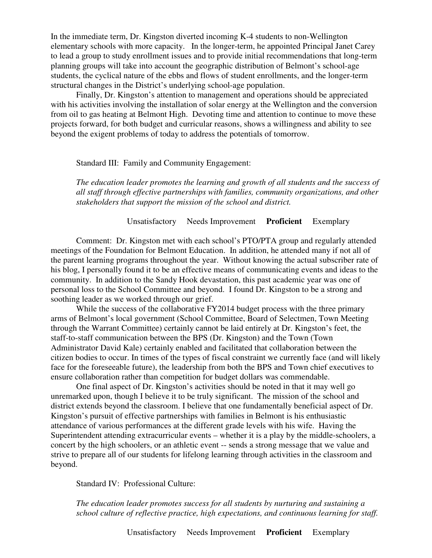In the immediate term, Dr. Kingston diverted incoming K-4 students to non-Wellington elementary schools with more capacity. In the longer-term, he appointed Principal Janet Carey to lead a group to study enrollment issues and to provide initial recommendations that long-term planning groups will take into account the geographic distribution of Belmont's school-age students, the cyclical nature of the ebbs and flows of student enrollments, and the longer-term structural changes in the District's underlying school-age population.

Finally, Dr. Kingston's attention to management and operations should be appreciated with his activities involving the installation of solar energy at the Wellington and the conversion from oil to gas heating at Belmont High. Devoting time and attention to continue to move these projects forward, for both budget and curricular reasons, shows a willingness and ability to see beyond the exigent problems of today to address the potentials of tomorrow.

#### Standard III: Family and Community Engagement:

*The education leader promotes the learning and growth of all students and the success of all staff through effective partnerships with families, community organizations, and other stakeholders that support the mission of the school and district.*

#### Unsatisfactory Needs Improvement **Proficient** Exemplary

 Comment: Dr. Kingston met with each school's PTO/PTA group and regularly attended meetings of the Foundation for Belmont Education. In addition, he attended many if not all of the parent learning programs throughout the year. Without knowing the actual subscriber rate of his blog, I personally found it to be an effective means of communicating events and ideas to the community. In addition to the Sandy Hook devastation, this past academic year was one of personal loss to the School Committee and beyond. I found Dr. Kingston to be a strong and soothing leader as we worked through our grief.

While the success of the collaborative FY2014 budget process with the three primary arms of Belmont's local government (School Committee, Board of Selectmen, Town Meeting through the Warrant Committee) certainly cannot be laid entirely at Dr. Kingston's feet, the staff-to-staff communication between the BPS (Dr. Kingston) and the Town (Town Administrator David Kale) certainly enabled and facilitated that collaboration between the citizen bodies to occur. In times of the types of fiscal constraint we currently face (and will likely face for the foreseeable future), the leadership from both the BPS and Town chief executives to ensure collaboration rather than competition for budget dollars was commendable.

 One final aspect of Dr. Kingston's activities should be noted in that it may well go unremarked upon, though I believe it to be truly significant. The mission of the school and district extends beyond the classroom. I believe that one fundamentally beneficial aspect of Dr. Kingston's pursuit of effective partnerships with families in Belmont is his enthusiastic attendance of various performances at the different grade levels with his wife. Having the Superintendent attending extracurricular events – whether it is a play by the middle-schoolers, a concert by the high schoolers, or an athletic event -- sends a strong message that we value and strive to prepare all of our students for lifelong learning through activities in the classroom and beyond.

Standard IV: Professional Culture:

*The education leader promotes success for all students by nurturing and sustaining a school culture of reflective practice, high expectations, and continuous learning for staff.*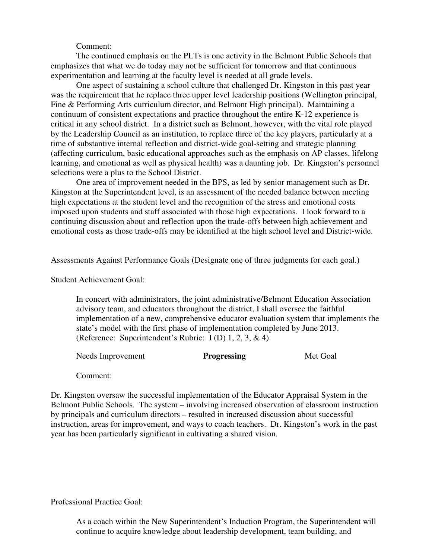#### Comment:

The continued emphasis on the PLTs is one activity in the Belmont Public Schools that emphasizes that what we do today may not be sufficient for tomorrow and that continuous experimentation and learning at the faculty level is needed at all grade levels.

 One aspect of sustaining a school culture that challenged Dr. Kingston in this past year was the requirement that he replace three upper level leadership positions (Wellington principal, Fine & Performing Arts curriculum director, and Belmont High principal). Maintaining a continuum of consistent expectations and practice throughout the entire K-12 experience is critical in any school district. In a district such as Belmont, however, with the vital role played by the Leadership Council as an institution, to replace three of the key players, particularly at a time of substantive internal reflection and district-wide goal-setting and strategic planning (affecting curriculum, basic educational approaches such as the emphasis on AP classes, lifelong learning, and emotional as well as physical health) was a daunting job. Dr. Kingston's personnel selections were a plus to the School District.

 One area of improvement needed in the BPS, as led by senior management such as Dr. Kingston at the Superintendent level, is an assessment of the needed balance between meeting high expectations at the student level and the recognition of the stress and emotional costs imposed upon students and staff associated with those high expectations. I look forward to a continuing discussion about and reflection upon the trade-offs between high achievement and emotional costs as those trade-offs may be identified at the high school level and District-wide.

Assessments Against Performance Goals (Designate one of three judgments for each goal.)

Student Achievement Goal:

In concert with administrators, the joint administrative/Belmont Education Association advisory team, and educators throughout the district, I shall oversee the faithful implementation of a new, comprehensive educator evaluation system that implements the state's model with the first phase of implementation completed by June 2013. (Reference: Superintendent's Rubric: I (D) 1, 2, 3, & 4)

Needs Improvement **Progressing** Met Goal

Comment:

Dr. Kingston oversaw the successful implementation of the Educator Appraisal System in the Belmont Public Schools. The system – involving increased observation of classroom instruction by principals and curriculum directors – resulted in increased discussion about successful instruction, areas for improvement, and ways to coach teachers. Dr. Kingston's work in the past year has been particularly significant in cultivating a shared vision.

Professional Practice Goal:

As a coach within the New Superintendent's Induction Program, the Superintendent will continue to acquire knowledge about leadership development, team building, and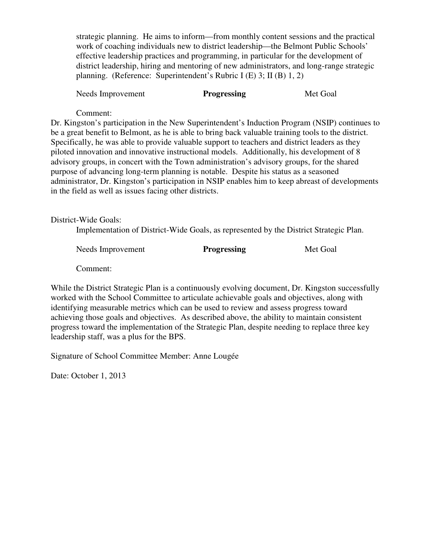strategic planning. He aims to inform—from monthly content sessions and the practical work of coaching individuals new to district leadership—the Belmont Public Schools' effective leadership practices and programming, in particular for the development of district leadership, hiring and mentoring of new administrators, and long-range strategic planning. (Reference: Superintendent's Rubric I (E) 3; II (B) 1, 2)

Needs Improvement **Progressing** Met Goal

Comment:

Dr. Kingston's participation in the New Superintendent's Induction Program (NSIP) continues to be a great benefit to Belmont, as he is able to bring back valuable training tools to the district. Specifically, he was able to provide valuable support to teachers and district leaders as they piloted innovation and innovative instructional models. Additionally, his development of 8 advisory groups, in concert with the Town administration's advisory groups, for the shared purpose of advancing long-term planning is notable. Despite his status as a seasoned administrator, Dr. Kingston's participation in NSIP enables him to keep abreast of developments in the field as well as issues facing other districts.

District-Wide Goals:

Implementation of District-Wide Goals, as represented by the District Strategic Plan.

| Needs Improvement | <b>Progressing</b> | Met Goal |
|-------------------|--------------------|----------|
|                   |                    |          |

Comment:

While the District Strategic Plan is a continuously evolving document, Dr. Kingston successfully worked with the School Committee to articulate achievable goals and objectives, along with identifying measurable metrics which can be used to review and assess progress toward achieving those goals and objectives. As described above, the ability to maintain consistent progress toward the implementation of the Strategic Plan, despite needing to replace three key leadership staff, was a plus for the BPS.

Signature of School Committee Member: Anne Lougée

Date: October 1, 2013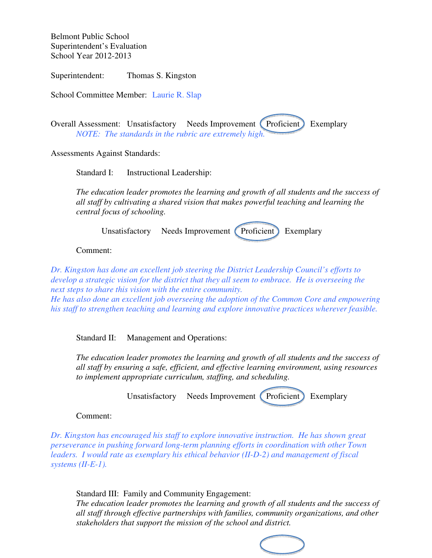Belmont Public School Superintendent's Evaluation School Year 2012-2013

Superintendent: Thomas S. Kingston

School Committee Member: Laurie R. Slap

Overall Assessment: Unsatisfactory Needs Improvement (Proficient) Exemplary *NOTE: The standards in the rubric are extremely high.*

Assessments Against Standards:

Standard I: Instructional Leadership:

*The education leader promotes the learning and growth of all students and the success of all staff by cultivating a shared vision that makes powerful teaching and learning the central focus of schooling.* 

Unsatisfactory Needs Improvement (Proficient) Exemplary

Comment:

*Dr. Kingston has done an excellent job steering the District Leadership Council's efforts to develop a strategic vision for the district that they all seem to embrace. He is overseeing the next steps to share this vision with the entire community.* 

*He has also done an excellent job overseeing the adoption of the Common Core and empowering his staff to strengthen teaching and learning and explore innovative practices wherever feasible.* 

Standard II: Management and Operations:

*The education leader promotes the learning and growth of all students and the success of all staff by ensuring a safe, efficient, and effective learning environment, using resources to implement appropriate curriculum, staffing, and scheduling.*

Unsatisfactory Needs Improvement (Proficient) Exemplary

Comment:

*Dr. Kingston has encouraged his staff to explore innovative instruction. He has shown great perseverance in pushing forward long-term planning efforts in coordination with other Town leaders. I would rate as exemplary his ethical behavior (II-D-2) and management of fiscal systems (II-E-1).* 

Standard III: Family and Community Engagement:

*The education leader promotes the learning and growth of all students and the success of all staff through effective partnerships with families, community organizations, and other stakeholders that support the mission of the school and district.*

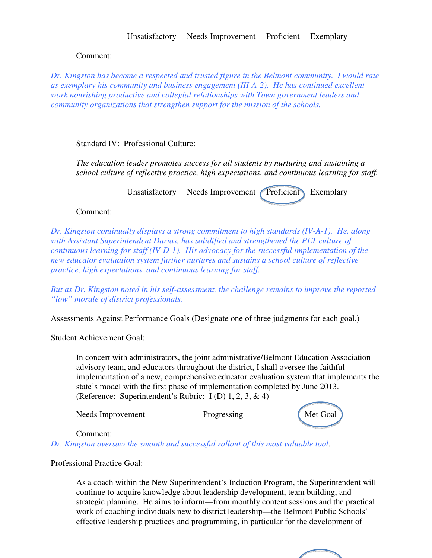### Unsatisfactory Needs Improvement Proficient Exemplary

### Comment:

*Dr. Kingston has become a respected and trusted figure in the Belmont community. I would rate as exemplary his community and business engagement (III-A-2). He has continued excellent work nourishing productive and collegial relationships with Town government leaders and community organizations that strengthen support for the mission of the schools.* 

Standard IV: Professional Culture:

*The education leader promotes success for all students by nurturing and sustaining a school culture of reflective practice, high expectations, and continuous learning for staff.*

Unsatisfactory Needs Improvement Proficient Exemplary

#### Comment:

*Dr. Kingston continually displays a strong commitment to high standards (IV-A-1). He, along with Assistant Superintendent Darias, has solidified and strengthened the PLT culture of continuous learning for staff (IV-D-1). His advocacy for the successful implementation of the new educator evaluation system further nurtures and sustains a school culture of reflective practice, high expectations, and continuous learning for staff.* 

*But as Dr. Kingston noted in his self-assessment, the challenge remains to improve the reported "low" morale of district professionals.* 

Assessments Against Performance Goals (Designate one of three judgments for each goal.)

Student Achievement Goal:

In concert with administrators, the joint administrative/Belmont Education Association advisory team, and educators throughout the district, I shall oversee the faithful implementation of a new, comprehensive educator evaluation system that implements the state's model with the first phase of implementation completed by June 2013. (Reference: Superintendent's Rubric: I (D) 1, 2, 3, & 4)

Needs Improvement Progressing Met Goal



#### Comment:

*Dr. Kingston oversaw the smooth and successful rollout of this most valuable tool*.

Professional Practice Goal:

As a coach within the New Superintendent's Induction Program, the Superintendent will continue to acquire knowledge about leadership development, team building, and strategic planning. He aims to inform—from monthly content sessions and the practical work of coaching individuals new to district leadership—the Belmont Public Schools' effective leadership practices and programming, in particular for the development of

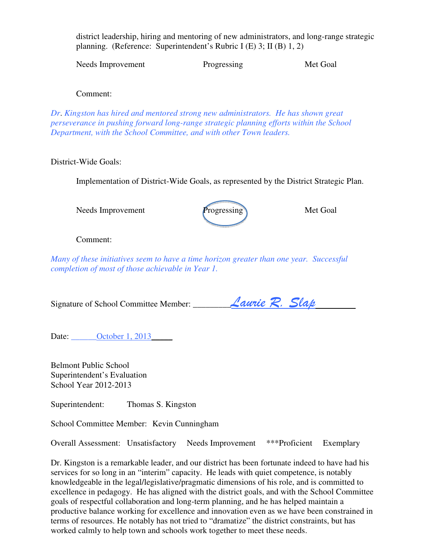district leadership, hiring and mentoring of new administrators, and long-range strategic planning. (Reference: Superintendent's Rubric I (E) 3; II (B) 1, 2)

Needs Improvement Progressing Met Goal

Comment:

*Dr*. *Kingston has hired and mentored strong new administrators. He has shown great perseverance in pushing forward long-range strategic planning efforts within the School Department, with the School Committee, and with other Town leaders.*

# District-Wide Goals:

Implementation of District-Wide Goals, as represented by the District Strategic Plan.

Needs Improvement Progressing Met Goal



Comment:

*Many of these initiatives seem to have a time horizon greater than one year. Successful completion of most of those achievable in Year 1.* 

Signature of School Committee Member: \_\_\_\_\_\_\_\_\_Laurie R. Slap

Date: <u>October 1, 2013</u>

Belmont Public School Superintendent's Evaluation School Year 2012-2013

Superintendent: Thomas S. Kingston

School Committee Member: Kevin Cunningham

Overall Assessment: Unsatisfactory Needs Improvement \*\*\*Proficient Exemplary

Dr. Kingston is a remarkable leader, and our district has been fortunate indeed to have had his services for so long in an "interim" capacity. He leads with quiet competence, is notably knowledgeable in the legal/legislative/pragmatic dimensions of his role, and is committed to excellence in pedagogy. He has aligned with the district goals, and with the School Committee goals of respectful collaboration and long-term planning, and he has helped maintain a productive balance working for excellence and innovation even as we have been constrained in terms of resources. He notably has not tried to "dramatize" the district constraints, but has worked calmly to help town and schools work together to meet these needs.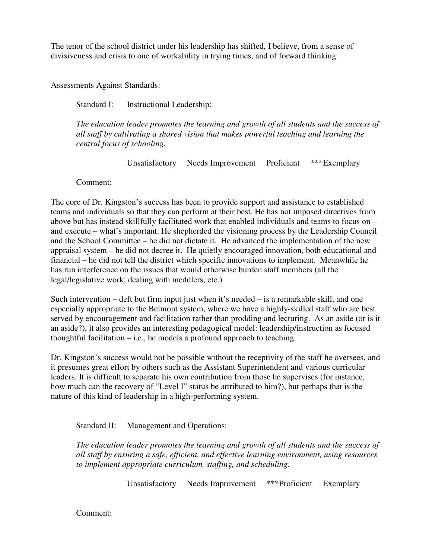The tenor of the school district under his leadership has shifted, I believe, from a sense of divisiveness and crisis to one of workability in trying times, and of forward thinking.

Assessments Against Standards:

Standard I: Instructional Leadership:

*The education leader promotes the learning and growth of all students and the success of all staff by cultivating a shared vision that makes powerful teaching and learning the central focus of schooling.* 

Unsatisfactory Needs Improvement Proficient \*\*\*Exemplary

Comment:

The core of Dr. Kingston's success has been to provide support and assistance to established teams and individuals so that they can perform at their best. He has not imposed directives from above but has instead skillfully facilitated work that enabled individuals and teams to focus on – and execute – what's important. He shepherded the visioning process by the Leadership Council and the School Committee – he did not dictate it. He advanced the implementation of the new appraisal system – he did not decree it. He quietly encouraged innovation, both educational and financial – he did not tell the district which specific innovations to implement. Meanwhile he has run interference on the issues that would otherwise burden staff members (all the legal/legislative work, dealing with meddlers, etc.)

Such intervention – deft but firm input just when it's needed – is a remarkable skill, and one especially appropriate to the Belmont system, where we have a highly-skilled staff who are best served by encouragement and facilitation rather than prodding and lecturing. As an aside (or is it an aside?), it also provides an interesting pedagogical model: leadership/instruction as focused thoughtful facilitation  $-$  i.e., he models a profound approach to teaching.

Dr. Kingston's success would not be possible without the receptivity of the staff he oversees, and it presumes great effort by others such as the Assistant Superintendent and various curricular leaders. It is difficult to separate his own contribution from those he supervises (for instance, how much can the recovery of "Level I" status be attributed to him?), but perhaps that is the nature of this kind of leadership in a high-performing system.

Standard II: Management and Operations:

*The education leader promotes the learning and growth of all students and the success of all staff by ensuring a safe, efficient, and effective learning environment, using resources to implement appropriate curriculum, staffing, and scheduling.*

Unsatisfactory Needs Improvement \*\*\*Proficient Exemplary

Comment: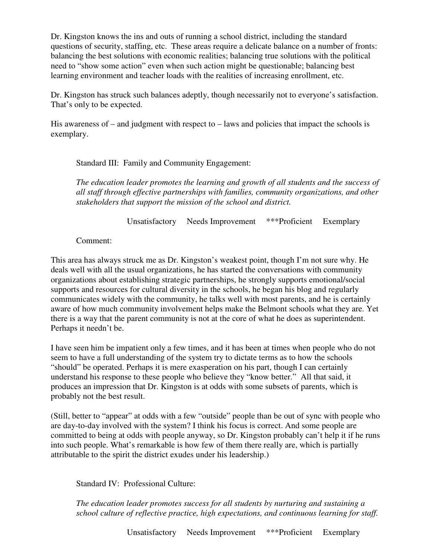Dr. Kingston knows the ins and outs of running a school district, including the standard questions of security, staffing, etc. These areas require a delicate balance on a number of fronts: balancing the best solutions with economic realities; balancing true solutions with the political need to "show some action" even when such action might be questionable; balancing best learning environment and teacher loads with the realities of increasing enrollment, etc.

Dr. Kingston has struck such balances adeptly, though necessarily not to everyone's satisfaction. That's only to be expected.

His awareness of – and judgment with respect to – laws and policies that impact the schools is exemplary.

Standard III: Family and Community Engagement:

*The education leader promotes the learning and growth of all students and the success of all staff through effective partnerships with families, community organizations, and other stakeholders that support the mission of the school and district.*

Unsatisfactory Needs Improvement \*\*\*Proficient Exemplary

Comment:

This area has always struck me as Dr. Kingston's weakest point, though I'm not sure why. He deals well with all the usual organizations, he has started the conversations with community organizations about establishing strategic partnerships, he strongly supports emotional/social supports and resources for cultural diversity in the schools, he began his blog and regularly communicates widely with the community, he talks well with most parents, and he is certainly aware of how much community involvement helps make the Belmont schools what they are. Yet there is a way that the parent community is not at the core of what he does as superintendent. Perhaps it needn't be.

I have seen him be impatient only a few times, and it has been at times when people who do not seem to have a full understanding of the system try to dictate terms as to how the schools "should" be operated. Perhaps it is mere exasperation on his part, though I can certainly understand his response to these people who believe they "know better." All that said, it produces an impression that Dr. Kingston is at odds with some subsets of parents, which is probably not the best result.

(Still, better to "appear" at odds with a few "outside" people than be out of sync with people who are day-to-day involved with the system? I think his focus is correct. And some people are committed to being at odds with people anyway, so Dr. Kingston probably can't help it if he runs into such people. What's remarkable is how few of them there really are, which is partially attributable to the spirit the district exudes under his leadership.)

Standard IV: Professional Culture:

*The education leader promotes success for all students by nurturing and sustaining a school culture of reflective practice, high expectations, and continuous learning for staff.*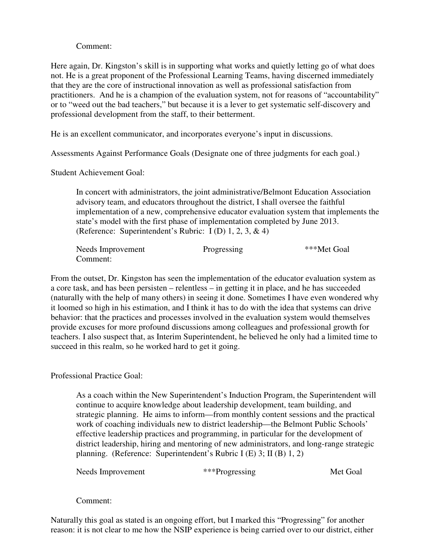# Comment:

Here again, Dr. Kingston's skill is in supporting what works and quietly letting go of what does not. He is a great proponent of the Professional Learning Teams, having discerned immediately that they are the core of instructional innovation as well as professional satisfaction from practitioners. And he is a champion of the evaluation system, not for reasons of "accountability" or to "weed out the bad teachers," but because it is a lever to get systematic self-discovery and professional development from the staff, to their betterment.

He is an excellent communicator, and incorporates everyone's input in discussions.

Assessments Against Performance Goals (Designate one of three judgments for each goal.)

Student Achievement Goal:

In concert with administrators, the joint administrative/Belmont Education Association advisory team, and educators throughout the district, I shall oversee the faithful implementation of a new, comprehensive educator evaluation system that implements the state's model with the first phase of implementation completed by June 2013. (Reference: Superintendent's Rubric: I (D) 1, 2, 3, & 4)

| Needs Improvement | Progressing | ***Met Goal |
|-------------------|-------------|-------------|
| Comment:          |             |             |

From the outset, Dr. Kingston has seen the implementation of the educator evaluation system as a core task, and has been persisten – relentless – in getting it in place, and he has succeeded (naturally with the help of many others) in seeing it done. Sometimes I have even wondered why it loomed so high in his estimation, and I think it has to do with the idea that systems can drive behavior: that the practices and processes involved in the evaluation system would themselves provide excuses for more profound discussions among colleagues and professional growth for teachers. I also suspect that, as Interim Superintendent, he believed he only had a limited time to succeed in this realm, so he worked hard to get it going.

Professional Practice Goal:

As a coach within the New Superintendent's Induction Program, the Superintendent will continue to acquire knowledge about leadership development, team building, and strategic planning. He aims to inform—from monthly content sessions and the practical work of coaching individuals new to district leadership—the Belmont Public Schools' effective leadership practices and programming, in particular for the development of district leadership, hiring and mentoring of new administrators, and long-range strategic planning. (Reference: Superintendent's Rubric I (E) 3; II (B) 1, 2)

Needs Improvement \*\*\*Progressing Met Goal

Comment:

Naturally this goal as stated is an ongoing effort, but I marked this "Progressing" for another reason: it is not clear to me how the NSIP experience is being carried over to our district, either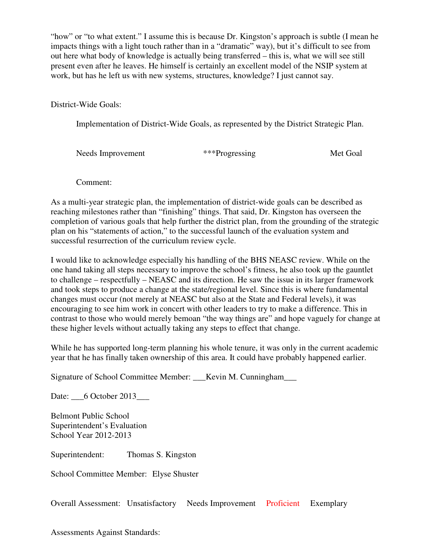"how" or "to what extent." I assume this is because Dr. Kingston's approach is subtle (I mean he impacts things with a light touch rather than in a "dramatic" way), but it's difficult to see from out here what body of knowledge is actually being transferred – this is, what we will see still present even after he leaves. He himself is certainly an excellent model of the NSIP system at work, but has he left us with new systems, structures, knowledge? I just cannot say.

District-Wide Goals:

Implementation of District-Wide Goals, as represented by the District Strategic Plan.

| Needs Improvement | ***Progressing | Met Goal |
|-------------------|----------------|----------|
|                   |                |          |

Comment:

As a multi-year strategic plan, the implementation of district-wide goals can be described as reaching milestones rather than "finishing" things. That said, Dr. Kingston has overseen the completion of various goals that help further the district plan, from the grounding of the strategic plan on his "statements of action," to the successful launch of the evaluation system and successful resurrection of the curriculum review cycle.

I would like to acknowledge especially his handling of the BHS NEASC review. While on the one hand taking all steps necessary to improve the school's fitness, he also took up the gauntlet to challenge – respectfully – NEASC and its direction. He saw the issue in its larger framework and took steps to produce a change at the state/regional level. Since this is where fundamental changes must occur (not merely at NEASC but also at the State and Federal levels), it was encouraging to see him work in concert with other leaders to try to make a difference. This in contrast to those who would merely bemoan "the way things are" and hope vaguely for change at these higher levels without actually taking any steps to effect that change.

While he has supported long-term planning his whole tenure, it was only in the current academic year that he has finally taken ownership of this area. It could have probably happened earlier.

Signature of School Committee Member: Kevin M. Cunningham

Date: 6 October 2013

Belmont Public School Superintendent's Evaluation School Year 2012-2013

Superintendent: Thomas S. Kingston

School Committee Member: Elyse Shuster

Overall Assessment: Unsatisfactory Needs Improvement Proficient Exemplary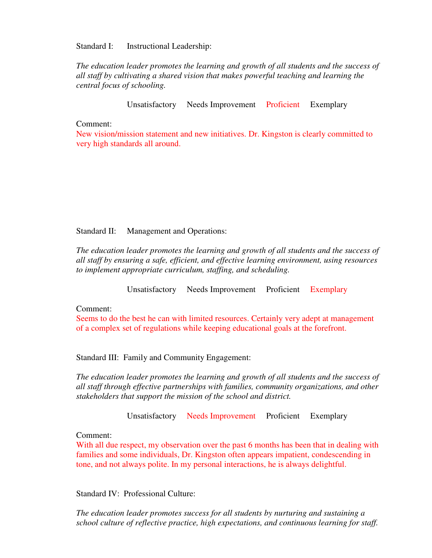Standard I: Instructional Leadership:

*The education leader promotes the learning and growth of all students and the success of all staff by cultivating a shared vision that makes powerful teaching and learning the central focus of schooling.* 

Unsatisfactory Needs Improvement Proficient Exemplary

Comment:

New vision/mission statement and new initiatives. Dr. Kingston is clearly committed to very high standards all around.

Standard II: Management and Operations:

*The education leader promotes the learning and growth of all students and the success of all staff by ensuring a safe, efficient, and effective learning environment, using resources to implement appropriate curriculum, staffing, and scheduling.*

Unsatisfactory Needs Improvement Proficient Exemplary

Comment:

Seems to do the best he can with limited resources. Certainly very adept at management of a complex set of regulations while keeping educational goals at the forefront.

Standard III: Family and Community Engagement:

*The education leader promotes the learning and growth of all students and the success of all staff through effective partnerships with families, community organizations, and other stakeholders that support the mission of the school and district.*

Unsatisfactory Needs Improvement Proficient Exemplary

Comment:

With all due respect, my observation over the past 6 months has been that in dealing with families and some individuals, Dr. Kingston often appears impatient, condescending in tone, and not always polite. In my personal interactions, he is always delightful.

Standard IV: Professional Culture:

*The education leader promotes success for all students by nurturing and sustaining a school culture of reflective practice, high expectations, and continuous learning for staff.*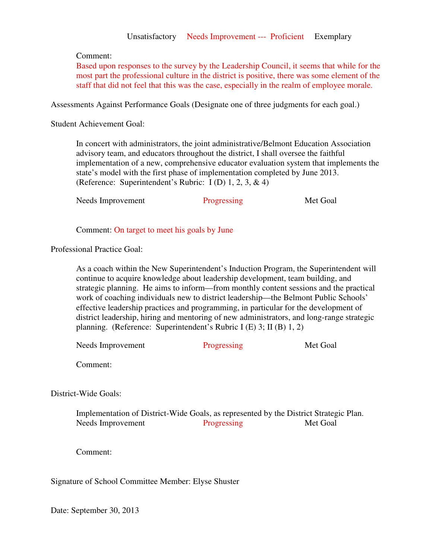### Unsatisfactory Needs Improvement --- Proficient Exemplary

### Comment:

Based upon responses to the survey by the Leadership Council, it seems that while for the most part the professional culture in the district is positive, there was some element of the staff that did not feel that this was the case, especially in the realm of employee morale.

Assessments Against Performance Goals (Designate one of three judgments for each goal.)

Student Achievement Goal:

In concert with administrators, the joint administrative/Belmont Education Association advisory team, and educators throughout the district, I shall oversee the faithful implementation of a new, comprehensive educator evaluation system that implements the state's model with the first phase of implementation completed by June 2013. (Reference: Superintendent's Rubric: I (D) 1, 2, 3, & 4)

Needs Improvement Progressing Met Goal

Comment: On target to meet his goals by June

Professional Practice Goal:

As a coach within the New Superintendent's Induction Program, the Superintendent will continue to acquire knowledge about leadership development, team building, and strategic planning. He aims to inform—from monthly content sessions and the practical work of coaching individuals new to district leadership—the Belmont Public Schools' effective leadership practices and programming, in particular for the development of district leadership, hiring and mentoring of new administrators, and long-range strategic planning. (Reference: Superintendent's Rubric I (E) 3; II (B) 1, 2)

Needs Improvement Progressing Met Goal

Comment:

District-Wide Goals:

 Implementation of District-Wide Goals, as represented by the District Strategic Plan. Needs Improvement Progressing Met Goal

Comment:

Signature of School Committee Member: Elyse Shuster

Date: September 30, 2013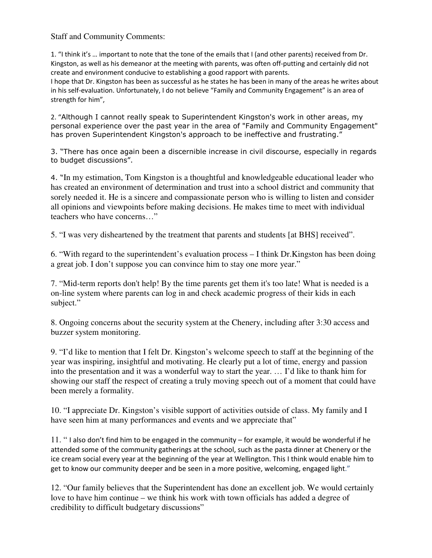# Staff and Community Comments:

1. "I think it's … important to note that the tone of the emails that I (and other parents) received from Dr. Kingston, as well as his demeanor at the meeting with parents, was often off-putting and certainly did not create and environment conducive to establishing a good rapport with parents.

I hope that Dr. Kingston has been as successful as he states he has been in many of the areas he writes about in his self-evaluation. Unfortunately, I do not believe "Family and Community Engagement" is an area of strength for him",

2. "Although I cannot really speak to Superintendent Kingston's work in other areas, my personal experience over the past year in the area of "Family and Community Engagement" has proven Superintendent Kingston's approach to be ineffective and frustrating."

3. "There has once again been a discernible increase in civil discourse, especially in regards to budget discussions".

4. "In my estimation, Tom Kingston is a thoughtful and knowledgeable educational leader who has created an environment of determination and trust into a school district and community that sorely needed it. He is a sincere and compassionate person who is willing to listen and consider all opinions and viewpoints before making decisions. He makes time to meet with individual teachers who have concerns…"

5. "I was very disheartened by the treatment that parents and students [at BHS] received".

6. "With regard to the superintendent's evaluation process – I think Dr.Kingston has been doing a great job. I don't suppose you can convince him to stay one more year."

7. "Mid-term reports don't help! By the time parents get them it's too late! What is needed is a on-line system where parents can log in and check academic progress of their kids in each subject."

8. Ongoing concerns about the security system at the Chenery, including after 3:30 access and buzzer system monitoring.

9. "I'd like to mention that I felt Dr. Kingston's welcome speech to staff at the beginning of the year was inspiring, insightful and motivating. He clearly put a lot of time, energy and passion into the presentation and it was a wonderful way to start the year. … I'd like to thank him for showing our staff the respect of creating a truly moving speech out of a moment that could have been merely a formality.

10. "I appreciate Dr. Kingston's visible support of activities outside of class. My family and I have seen him at many performances and events and we appreciate that"

11. " I also don't find him to be engaged in the community – for example, it would be wonderful if he attended some of the community gatherings at the school, such as the pasta dinner at Chenery or the ice cream social every year at the beginning of the year at Wellington. This I think would enable him to get to know our community deeper and be seen in a more positive, welcoming, engaged light."

12. "Our family believes that the Superintendent has done an excellent job. We would certainly love to have him continue – we think his work with town officials has added a degree of credibility to difficult budgetary discussions"